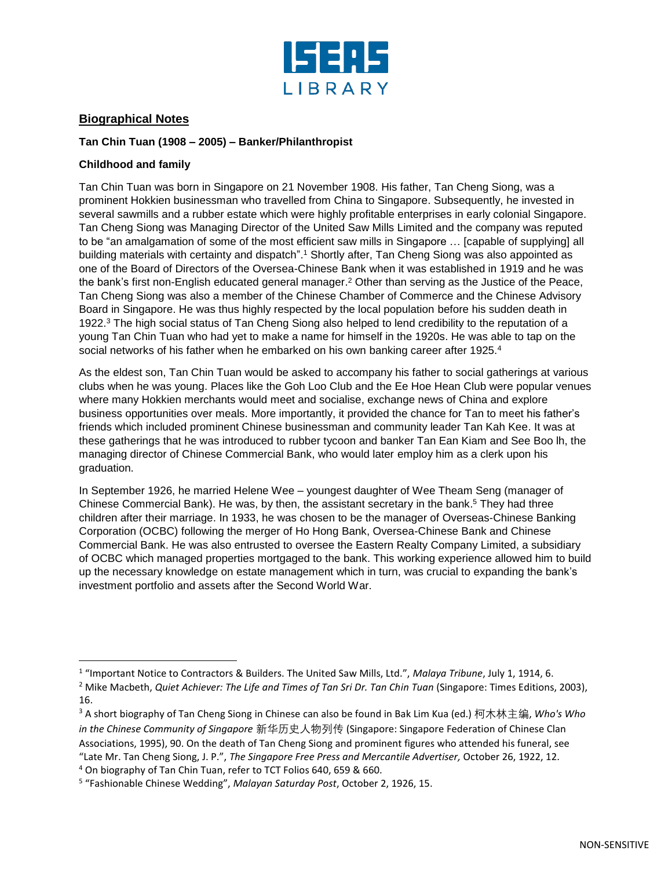

# **Biographical Notes**

# **Tan Chin Tuan (1908 – 2005) – Banker/Philanthropist**

## **Childhood and family**

 $\overline{\phantom{a}}$ 

Tan Chin Tuan was born in Singapore on 21 November 1908. His father, Tan Cheng Siong, was a prominent Hokkien businessman who travelled from China to Singapore. Subsequently, he invested in several sawmills and a rubber estate which were highly profitable enterprises in early colonial Singapore. Tan Cheng Siong was Managing Director of the United Saw Mills Limited and the company was reputed to be "an amalgamation of some of the most efficient saw mills in Singapore … [capable of supplying] all building materials with certainty and dispatch".<sup>1</sup> Shortly after, Tan Cheng Siong was also appointed as one of the Board of Directors of the Oversea-Chinese Bank when it was established in 1919 and he was the bank's first non-English educated general manager. <sup>2</sup> Other than serving as the Justice of the Peace, Tan Cheng Siong was also a member of the Chinese Chamber of Commerce and the Chinese Advisory Board in Singapore. He was thus highly respected by the local population before his sudden death in 1922. <sup>3</sup> The high social status of Tan Cheng Siong also helped to lend credibility to the reputation of a young Tan Chin Tuan who had yet to make a name for himself in the 1920s. He was able to tap on the social networks of his father when he embarked on his own banking career after 1925.<sup>4</sup>

As the eldest son, Tan Chin Tuan would be asked to accompany his father to social gatherings at various clubs when he was young. Places like the Goh Loo Club and the Ee Hoe Hean Club were popular venues where many Hokkien merchants would meet and socialise, exchange news of China and explore business opportunities over meals. More importantly, it provided the chance for Tan to meet his father's friends which included prominent Chinese businessman and community leader Tan Kah Kee. It was at these gatherings that he was introduced to rubber tycoon and banker Tan Ean Kiam and See Boo lh, the managing director of Chinese Commercial Bank, who would later employ him as a clerk upon his graduation.

In September 1926, he married Helene Wee – youngest daughter of Wee Theam Seng (manager of Chinese Commercial Bank). He was, by then, the assistant secretary in the bank. <sup>5</sup> They had three children after their marriage. In 1933, he was chosen to be the manager of Overseas-Chinese Banking Corporation (OCBC) following the merger of Ho Hong Bank, Oversea-Chinese Bank and Chinese Commercial Bank. He was also entrusted to oversee the Eastern Realty Company Limited, a subsidiary of OCBC which managed properties mortgaged to the bank. This working experience allowed him to build up the necessary knowledge on estate management which in turn, was crucial to expanding the bank's investment portfolio and assets after the Second World War.

<sup>1</sup> "Important Notice to Contractors & Builders. The United Saw Mills, Ltd.", *Malaya Tribune*, July 1, 1914, 6.

<sup>2</sup> Mike Macbeth, *Quiet Achiever: The Life and Times of Tan Sri Dr. Tan Chin Tuan* (Singapore: Times Editions, 2003), 16.

<sup>3</sup> A short biography of Tan Cheng Siong in Chinese can also be found in Bak Lim Kua (ed.) 柯木林主编, *Who's Who in the Chinese Community of Singapore* 新华历史人物列传 (Singapore: Singapore Federation of Chinese Clan Associations, 1995), 90. On the death of Tan Cheng Siong and prominent figures who attended his funeral, see "Late Mr. Tan Cheng Siong, J. P.", *The Singapore Free Press and Mercantile Advertiser,* October 26, 1922, 12. <sup>4</sup> On biography of Tan Chin Tuan, refer to TCT Folios 640, 659 & 660.

<sup>5</sup> "Fashionable Chinese Wedding", *Malayan Saturday Post*, October 2, 1926, 15.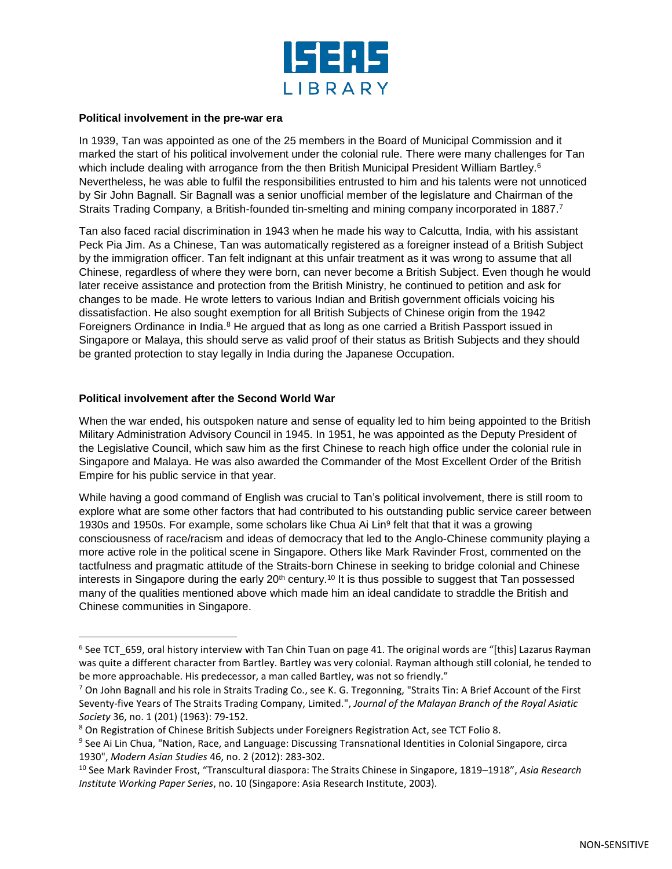

#### **Political involvement in the pre-war era**

In 1939, Tan was appointed as one of the 25 members in the Board of Municipal Commission and it marked the start of his political involvement under the colonial rule. There were many challenges for Tan which include dealing with arrogance from the then British Municipal President William Bartley.<sup>6</sup> Nevertheless, he was able to fulfil the responsibilities entrusted to him and his talents were not unnoticed by Sir John Bagnall. Sir Bagnall was a senior unofficial member of the legislature and Chairman of the Straits Trading Company, a British-founded tin-smelting and mining company incorporated in 1887.<sup>7</sup>

Tan also faced racial discrimination in 1943 when he made his way to Calcutta, India, with his assistant Peck Pia Jim. As a Chinese, Tan was automatically registered as a foreigner instead of a British Subject by the immigration officer. Tan felt indignant at this unfair treatment as it was wrong to assume that all Chinese, regardless of where they were born, can never become a British Subject. Even though he would later receive assistance and protection from the British Ministry, he continued to petition and ask for changes to be made. He wrote letters to various Indian and British government officials voicing his dissatisfaction. He also sought exemption for all British Subjects of Chinese origin from the 1942 Foreigners Ordinance in India.<sup>8</sup> He argued that as long as one carried a British Passport issued in Singapore or Malaya, this should serve as valid proof of their status as British Subjects and they should be granted protection to stay legally in India during the Japanese Occupation.

### **Political involvement after the Second World War**

 $\overline{\phantom{a}}$ 

When the war ended, his outspoken nature and sense of equality led to him being appointed to the British Military Administration Advisory Council in 1945. In 1951, he was appointed as the Deputy President of the Legislative Council, which saw him as the first Chinese to reach high office under the colonial rule in Singapore and Malaya. He was also awarded the Commander of the Most Excellent Order of the British Empire for his public service in that year.

While having a good command of English was crucial to Tan's political involvement, there is still room to explore what are some other factors that had contributed to his outstanding public service career between 1930s and 1950s. For example, some scholars like Chua Ai Lin<sup>9</sup> felt that that it was a growing consciousness of race/racism and ideas of democracy that led to the Anglo-Chinese community playing a more active role in the political scene in Singapore. Others like Mark Ravinder Frost, commented on the tactfulness and pragmatic attitude of the Straits-born Chinese in seeking to bridge colonial and Chinese interests in Singapore during the early 20<sup>th</sup> century.<sup>10</sup> It is thus possible to suggest that Tan possessed many of the qualities mentioned above which made him an ideal candidate to straddle the British and Chinese communities in Singapore.

 $^6$  See TCT\_659, oral history interview with Tan Chin Tuan on page 41. The original words are "[this] Lazarus Rayman was quite a different character from Bartley. Bartley was very colonial. Rayman although still colonial, he tended to be more approachable. His predecessor, a man called Bartley, was not so friendly."

 $7$  On John Bagnall and his role in Straits Trading Co., see K. G. Tregonning, "Straits Tin: A Brief Account of the First Seventy-five Years of The Straits Trading Company, Limited.", *Journal of the Malayan Branch of the Royal Asiatic Society* 36, no. 1 (201) (1963): 79-152.

<sup>8</sup> On Registration of Chinese British Subjects under Foreigners Registration Act, see TCT Folio 8.

<sup>&</sup>lt;sup>9</sup> See Ai Lin Chua, "Nation, Race, and Language: Discussing Transnational Identities in Colonial Singapore, circa 1930", *Modern Asian Studies* 46, no. 2 (2012): 283-302.

<sup>10</sup> See Mark Ravinder Frost, "Transcultural diaspora: The Straits Chinese in Singapore, 1819–1918", *Asia Research Institute Working Paper Series*, no. 10 (Singapore: Asia Research Institute, 2003).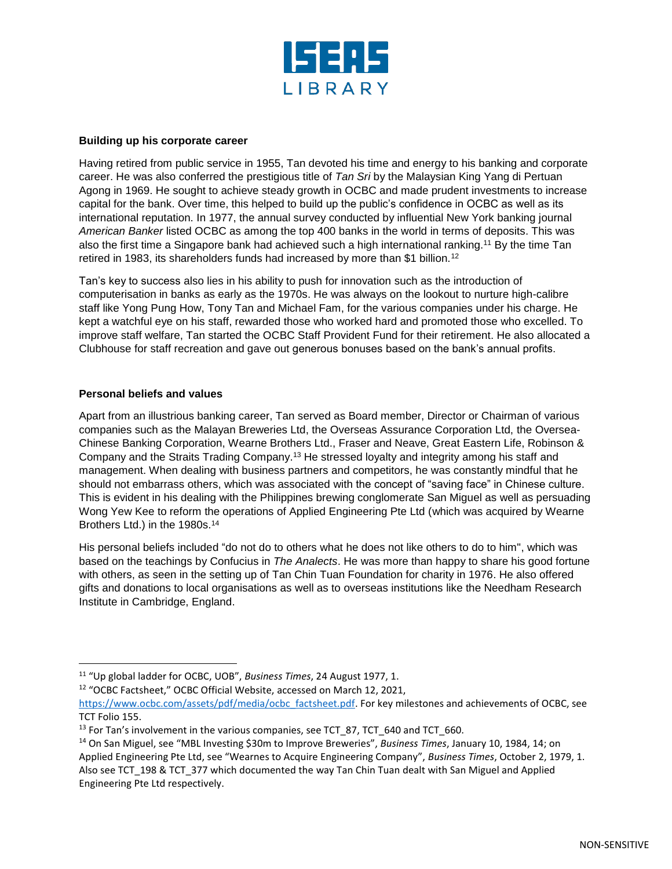

### **Building up his corporate career**

Having retired from public service in 1955, Tan devoted his time and energy to his banking and corporate career. He was also conferred the prestigious title of *Tan Sri* by the Malaysian King Yang di Pertuan Agong in 1969. He sought to achieve steady growth in OCBC and made prudent investments to increase capital for the bank. Over time, this helped to build up the public's confidence in OCBC as well as its international reputation. In 1977, the annual survey conducted by influential New York banking journal *American Banker* listed OCBC as among the top 400 banks in the world in terms of deposits. This was also the first time a Singapore bank had achieved such a high international ranking.<sup>11</sup> By the time Tan retired in 1983, its shareholders funds had increased by more than \$1 billion.<sup>12</sup>

Tan's key to success also lies in his ability to push for innovation such as the introduction of computerisation in banks as early as the 1970s. He was always on the lookout to nurture high-calibre staff like Yong Pung How, Tony Tan and Michael Fam, for the various companies under his charge. He kept a watchful eye on his staff, rewarded those who worked hard and promoted those who excelled. To improve staff welfare, Tan started the OCBC Staff Provident Fund for their retirement. He also allocated a Clubhouse for staff recreation and gave out generous bonuses based on the bank's annual profits.

#### **Personal beliefs and values**

 $\overline{\phantom{a}}$ 

Apart from an illustrious banking career, Tan served as Board member, Director or Chairman of various companies such as the Malayan Breweries Ltd, the Overseas Assurance Corporation Ltd, the Oversea-Chinese Banking Corporation, Wearne Brothers Ltd., Fraser and Neave, Great Eastern Life, Robinson & Company and the Straits Trading Company.<sup>13</sup> He stressed loyalty and integrity among his staff and management. When dealing with business partners and competitors, he was constantly mindful that he should not embarrass others, which was associated with the concept of "saving face" in Chinese culture. This is evident in his dealing with the Philippines brewing conglomerate San Miguel as well as persuading Wong Yew Kee to reform the operations of Applied Engineering Pte Ltd (which was acquired by Wearne Brothers Ltd.) in the 1980s. 14

His personal beliefs included "do not do to others what he does not like others to do to him", which was based on the teachings by Confucius in *The Analects*. He was more than happy to share his good fortune with others, as seen in the setting up of Tan Chin Tuan Foundation for charity in 1976. He also offered gifts and donations to local organisations as well as to overseas institutions like the Needham Research Institute in Cambridge, England.

<sup>12</sup> "OCBC Factsheet," OCBC Official Website, accessed on March 12, 2021,

<sup>11</sup> "Up global ladder for OCBC, UOB", *Business Times*, 24 August 1977, 1.

[https://www.ocbc.com/assets/pdf/media/ocbc\\_factsheet.pdf.](https://www.ocbc.com/assets/pdf/media/ocbc_factsheet.pdf) For key milestones and achievements of OCBC, see TCT Folio 155.

<sup>&</sup>lt;sup>13</sup> For Tan's involvement in the various companies, see TCT 87, TCT 640 and TCT 660.

<sup>14</sup> On San Miguel, see "MBL Investing \$30m to Improve Breweries", *Business Times*, January 10, 1984, 14; on Applied Engineering Pte Ltd, see "Wearnes to Acquire Engineering Company", *Business Times*, October 2, 1979, 1. Also see TCT\_198 & TCT\_377 which documented the way Tan Chin Tuan dealt with San Miguel and Applied Engineering Pte Ltd respectively.